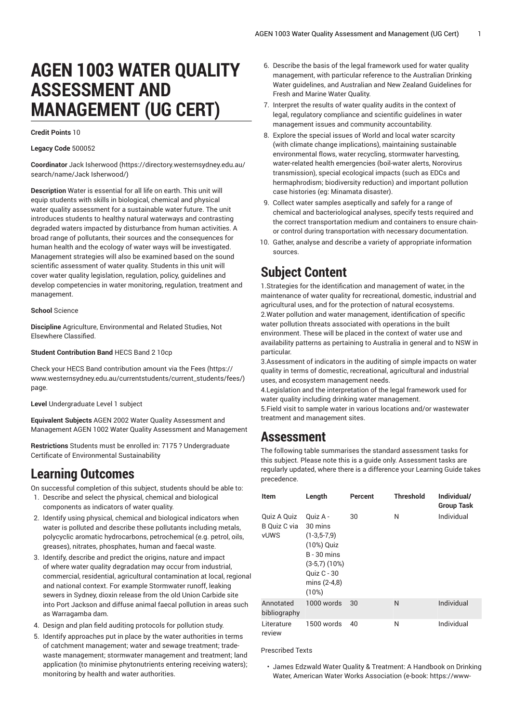# **AGEN 1003 WATER QUALITY ASSESSMENT AND MANAGEMENT (UG CERT)**

#### **Credit Points** 10

#### **Legacy Code** 500052

**Coordinator** Jack [Isherwood](https://directory.westernsydney.edu.au/search/name/Jack Isherwood/) ([https://directory.westernsydney.edu.au/](https://directory.westernsydney.edu.au/search/name/Jack Isherwood/) [search/name/Jack](https://directory.westernsydney.edu.au/search/name/Jack Isherwood/) Isherwood/)

**Description** Water is essential for all life on earth. This unit will equip students with skills in biological, chemical and physical water quality assessment for a sustainable water future. The unit introduces students to healthy natural waterways and contrasting degraded waters impacted by disturbance from human activities. A broad range of pollutants, their sources and the consequences for human health and the ecology of water ways will be investigated. Management strategies will also be examined based on the sound scientific assessment of water quality. Students in this unit will cover water quality legislation, regulation, policy, guidelines and develop competencies in water monitoring, regulation, treatment and management.

#### **School** Science

**Discipline** Agriculture, Environmental and Related Studies, Not Elsewhere Classified.

#### **Student Contribution Band** HECS Band 2 10cp

Check your HECS Band contribution amount via the [Fees \(https://](https://www.westernsydney.edu.au/currentstudents/current_students/fees/) [www.westernsydney.edu.au/currentstudents/current\\_students/fees/\)](https://www.westernsydney.edu.au/currentstudents/current_students/fees/) page.

**Level** Undergraduate Level 1 subject

**Equivalent Subjects** AGEN 2002 Water Quality Assessment and Management [AGEN 1002](/search/?P=AGEN%201002) Water Quality Assessment and Management

**Restrictions** Students must be enrolled in: 7175 ? Undergraduate Certificate of Environmental Sustainability

## **Learning Outcomes**

On successful completion of this subject, students should be able to:

- 1. Describe and select the physical, chemical and biological components as indicators of water quality.
- 2. Identify using physical, chemical and biological indicators when water is polluted and describe these pollutants including metals, polycyclic aromatic hydrocarbons, petrochemical (e.g. petrol, oils, greases), nitrates, phosphates, human and faecal waste.
- 3. Identify, describe and predict the origins, nature and impact of where water quality degradation may occur from industrial, commercial, residential, agricultural contamination at local, regional and national context. For example Stormwater runoff, leaking sewers in Sydney, dioxin release from the old Union Carbide site into Port Jackson and diffuse animal faecal pollution in areas such as Warragamba dam.
- 4. Design and plan field auditing protocols for pollution study.
- 5. Identify approaches put in place by the water authorities in terms of catchment management; water and sewage treatment; tradewaste management; stormwater management and treatment; land application (to minimise phytonutrients entering receiving waters); monitoring by health and water authorities.
- 6. Describe the basis of the legal framework used for water quality management, with particular reference to the Australian Drinking Water guidelines, and Australian and New Zealand Guidelines for Fresh and Marine Water Quality.
- 7. Interpret the results of water quality audits in the context of legal, regulatory compliance and scientific guidelines in water management issues and community accountability.
- 8. Explore the special issues of World and local water scarcity (with climate change implications), maintaining sustainable environmental flows, water recycling, stormwater harvesting, water-related health emergencies (boil-water alerts, Norovirus transmission), special ecological impacts (such as EDCs and hermaphrodism; biodiversity reduction) and important pollution case histories (eg: Minamata disaster).
- 9. Collect water samples aseptically and safely for a range of chemical and bacteriological analyses, specify tests required and the correct transportation medium and containers to ensure chainor control during transportation with necessary documentation.
- 10. Gather, analyse and describe a variety of appropriate information sources.

# **Subject Content**

1.Strategies for the identification and management of water, in the maintenance of water quality for recreational, domestic, industrial and agricultural uses, and for the protection of natural ecosystems. 2.Water pollution and water management, identification of specific water pollution threats associated with operations in the built environment. These will be placed in the context of water use and availability patterns as pertaining to Australia in general and to NSW in particular.

3.Assessment of indicators in the auditing of simple impacts on water quality in terms of domestic, recreational, agricultural and industrial uses, and ecosystem management needs.

4.Legislation and the interpretation of the legal framework used for water quality including drinking water management.

5.Field visit to sample water in various locations and/or wastewater treatment and management sites.

### **Assessment**

The following table summarises the standard assessment tasks for this subject. Please note this is a guide only. Assessment tasks are regularly updated, where there is a difference your Learning Guide takes precedence.

| <b>Item</b>                                | Length                                                                                                                                  | Percent | <b>Threshold</b> | Individual/<br><b>Group Task</b> |
|--------------------------------------------|-----------------------------------------------------------------------------------------------------------------------------------------|---------|------------------|----------------------------------|
| Quiz A Quiz<br>B Quiz C via<br><b>vUWS</b> | Ouiz A -<br>30 mins<br>$(1-3,5-7,9)$<br>(10%) Quiz<br>$B - 30$ mins<br>$(3-5,7)$ $(10%)$<br><b>Quiz C - 30</b><br>mins (2-4,8)<br>(10%) | 30      | N                | Individual                       |
| Annotated<br>bibliography                  | 1000 words                                                                                                                              | 30      | N                | Individual                       |
| Literature<br>review                       | 1500 words                                                                                                                              | 40      | N                | Individual                       |

Prescribed Texts

• James Edzwald Water Quality & Treatment: A Handbook on Drinking Water, American Water Works Association (e-book: https://www